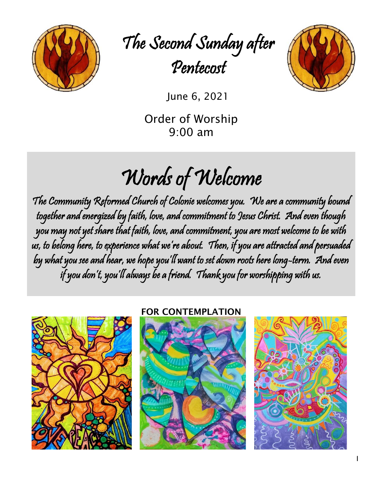

The Second Sunday after Pentecost



June 6, 2021

Order of Worship 9:00 am

# Words of Welcome

The Community Reformed Church of Colonie welcomes you. We are a community bound together and energized by faith, love, and commitment to Jesus Christ. And even though you may not yet share that faith, love, and commitment, you are most welcome to be with us, to belong here, to experience what we're about. Then, if you are attracted and persuaded by what you see and hear, we hope you'll want to set down roots here long-term. And even if you don't, you'll always be a friend. Thank you for worshipping with us.



#### FOR CONTEMPLATION



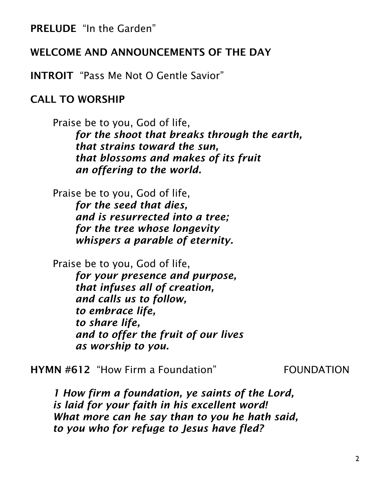PRELUDE "In the Garden"

#### WELCOME AND ANNOUNCEMENTS OF THE DAY

INTROIT "Pass Me Not O Gentle Savior"

#### CALL TO WORSHIP

Praise be to you, God of life, *for the shoot that breaks through the earth, that strains toward the sun, that blossoms and makes of its fruit an offering to the world.*

Praise be to you, God of life, *for the seed that dies, and is resurrected into a tree; for the tree whose longevity whispers a parable of eternity.*

Praise be to you, God of life,

*for your presence and purpose, that infuses all of creation, and calls us to follow, to embrace life, to share life, and to offer the fruit of our lives as worship to you.*

HYMN #612 "How Firm a Foundation" FOUNDATION

*1 How firm a foundation, ye saints of the Lord, is laid for your faith in his excellent word! What more can he say than to you he hath said, to you who for refuge to Jesus have fled?*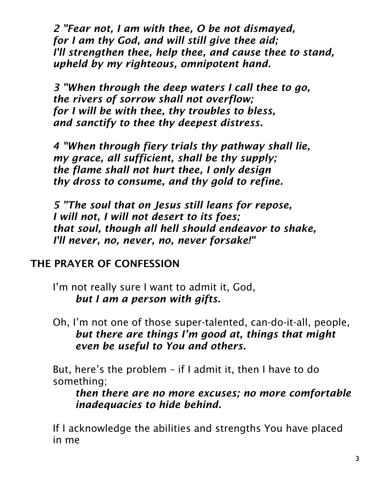*2 "Fear not, I am with thee, O be not dismayed, for I am thy God, and will still give thee aid; I'll strengthen thee, help thee, and cause thee to stand, upheld by my righteous, omnipotent hand.*

*3 "When through the deep waters I call thee to go, the rivers of sorrow shall not overflow; for I will be with thee, thy troubles to bless, and sanctify to thee thy deepest distress.*

*4 "When through fiery trials thy pathway shall lie, my grace, all sufficient, shall be thy supply; the flame shall not hurt thee, I only design thy dross to consume, and thy gold to refine.*

*5 "The soul that on Jesus still leans for repose, I will not, I will not desert to its foes; that soul, though all hell should endeavor to shake, I'll never, no, never, no, never forsake!"*

# THE PRAYER OF CONFESSION

I'm not really sure I want to admit it, God, *but I am a person with gifts.*

Oh, I'm not one of those super-talented, can-do-it-all, people, *but there are things I'm good at, things that might even be useful to You and others.*

But, here's the problem – if I admit it, then I have to do something;

*then there are no more excuses; no more comfortable inadequacies to hide behind.*

If I acknowledge the abilities and strengths You have placed in me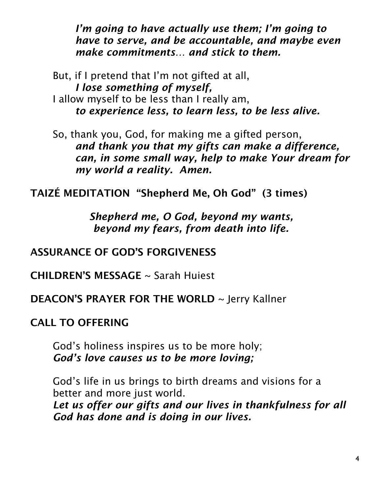*I'm going to have actually use them; I'm going to have to serve, and be accountable, and maybe even make commitments… and stick to them.*

But, if I pretend that I'm not gifted at all, *I lose something of myself,* I allow myself to be less than I really am, *to experience less, to learn less, to be less alive.*

So, thank you, God, for making me a gifted person, *and thank you that my gifts can make a difference, can, in some small way, help to make Your dream for my world a reality. Amen.*

TAIZÉ MEDITATION "Shepherd Me, Oh God" (3 times)

*Shepherd me, O God, beyond my wants, beyond my fears, from death into life.*

ASSURANCE OF GOD'S FORGIVENESS

CHILDREN'S MESSAGE ~ Sarah Huiest

DEACON'S PRAYER FOR THE WORLD ~ Jerry Kallner

CALL TO OFFERING

God's holiness inspires us to be more holy; *God's love causes us to be more loving;*

God's life in us brings to birth dreams and visions for a better and more just world.

*Let us offer our gifts and our lives in thankfulness for all God has done and is doing in our lives.*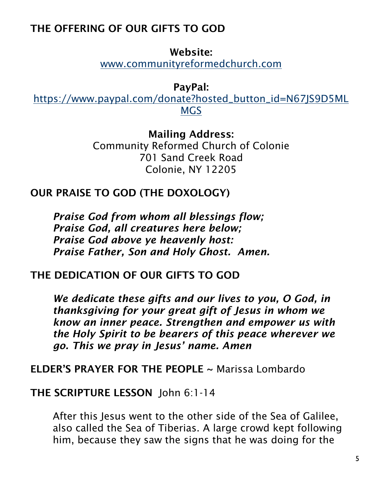# THE OFFERING OF OUR GIFTS TO GOD

Website:

[www.communityreformedchurch.com](http://www.communityreformedchurch.com/)

PayPal:

[https://www.paypal.com/donate?hosted\\_button\\_id=N67JS9D5ML](https://www.paypal.com/donate?hosted_button_id=N67JS9D5MLMGS) [MGS](https://www.paypal.com/donate?hosted_button_id=N67JS9D5MLMGS)

> Mailing Address: Community Reformed Church of Colonie 701 Sand Creek Road Colonie, NY 12205

# OUR PRAISE TO GOD (THE DOXOLOGY)

*Praise God from whom all blessings flow; Praise God, all creatures here below; Praise God above ye heavenly host: Praise Father, Son and Holy Ghost. Amen.*

# THE DEDICATION OF OUR GIFTS TO GOD

*We dedicate these gifts and our lives to you, O God, in thanksgiving for your great gift of Jesus in whom we know an inner peace. Strengthen and empower us with the Holy Spirit to be bearers of this peace wherever we go. This we pray in Jesus' name. Amen*

ELDER'S PRAYER FOR THE PEOPLE ~ Marissa Lombardo

## THE SCRIPTURE LESSON John 6:1-14

After this Jesus went to the other side of the Sea of Galilee, also called the Sea of Tiberias. A large crowd kept following him, because they saw the signs that he was doing for the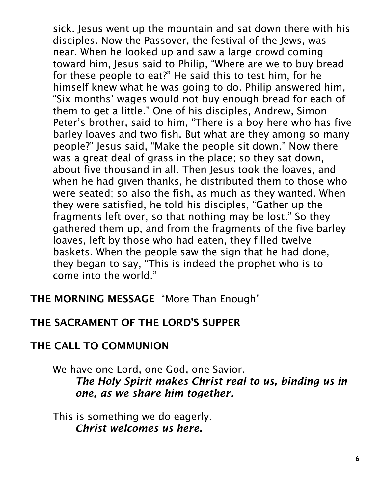sick. Jesus went up the mountain and sat down there with his disciples. Now the Passover, the festival of the Jews, was near. When he looked up and saw a large crowd coming toward him, Jesus said to Philip, "Where are we to buy bread for these people to eat?" He said this to test him, for he himself knew what he was going to do. Philip answered him, "Six months' wages would not buy enough bread for each of them to get a little." One of his disciples, Andrew, Simon Peter's brother, said to him, "There is a boy here who has five barley loaves and two fish. But what are they among so many people?" Jesus said, "Make the people sit down." Now there was a great deal of grass in the place; so they sat down, about five thousand in all. Then Jesus took the loaves, and when he had given thanks, he distributed them to those who were seated; so also the fish, as much as they wanted. When they were satisfied, he told his disciples, "Gather up the fragments left over, so that nothing may be lost." So they gathered them up, and from the fragments of the five barley loaves, left by those who had eaten, they filled twelve baskets. When the people saw the sign that he had done, they began to say, "This is indeed the prophet who is to come into the world."

THE MORNING MESSAGE "More Than Enough"

# THE SACRAMENT OF THE LORD'S SUPPER

## THE CALL TO COMMUNION

We have one Lord, one God, one Savior. *The Holy Spirit makes Christ real to us, binding us in one, as we share him together.*

This is something we do eagerly. *Christ welcomes us here.*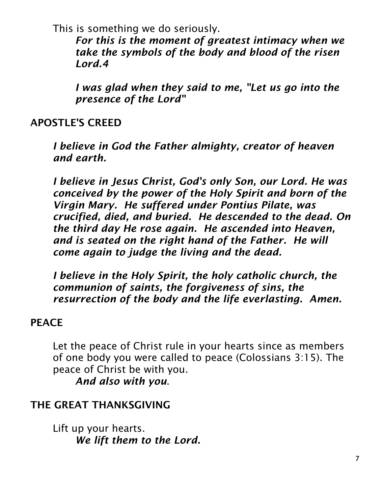This is something we do seriously.

*For this is the moment of greatest intimacy when we take the symbols of the body and blood of the risen Lord.4*

*I was glad when they said to me, "Let us go into the presence of the Lord"*

## APOSTLE'S CREED

*I believe in God the Father almighty, creator of heaven and earth.*

*I believe in Jesus Christ, God's only Son, our Lord. He was conceived by the power of the Holy Spirit and born of the Virgin Mary. He suffered under Pontius Pilate, was crucified, died, and buried. He descended to the dead. On the third day He rose again. He ascended into Heaven, and is seated on the right hand of the Father. He will come again to judge the living and the dead.*

*I believe in the Holy Spirit, the holy catholic church, the communion of saints, the forgiveness of sins, the resurrection of the body and the life everlasting. Amen.*

## **PEACE**

Let the peace of Christ rule in your hearts since as members of one body you were called to peace (Colossians 3:15). The peace of Christ be with you.

*And also with you*.

# THE GREAT THANKSGIVING

Lift up your hearts. *We lift them to the Lord.*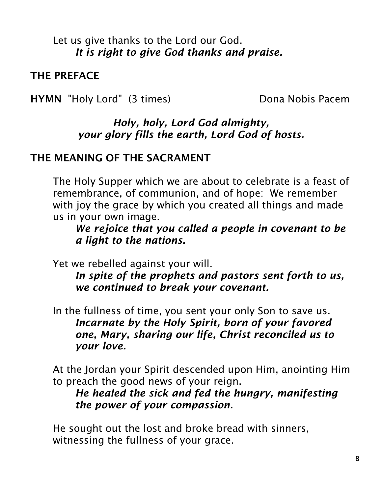Let us give thanks to the Lord our God. *It is right to give God thanks and praise.*

THE PREFACE

HYMN "Holy Lord" (3 times) Dona Nobis Pacem

#### *Holy, holy, Lord God almighty, your glory fills the earth, Lord God of hosts.*

#### THE MEANING OF THE SACRAMENT

The Holy Supper which we are about to celebrate is a feast of remembrance, of communion, and of hope: We remember with joy the grace by which you created all things and made us in your own image.

*We rejoice that you called a people in covenant to be a light to the nations.*

Yet we rebelled against your will.

*In spite of the prophets and pastors sent forth to us, we continued to break your covenant.*

In the fullness of time, you sent your only Son to save us. *Incarnate by the Holy Spirit, born of your favored one, Mary, sharing our life, Christ reconciled us to your love.*

At the Jordan your Spirit descended upon Him, anointing Him to preach the good news of your reign.

## *He healed the sick and fed the hungry, manifesting the power of your compassion.*

He sought out the lost and broke bread with sinners, witnessing the fullness of your grace.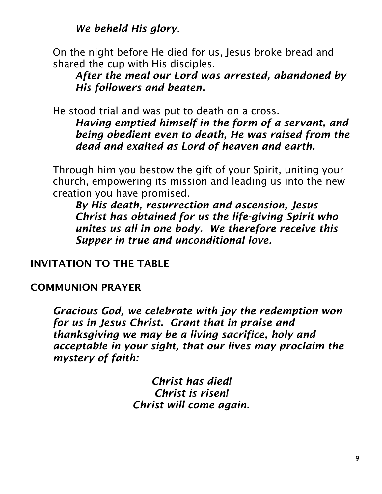*We beheld His glory*.

On the night before He died for us, Jesus broke bread and shared the cup with His disciples.

*After the meal our Lord was arrested, abandoned by His followers and beaten.*

He stood trial and was put to death on a cross.

*Having emptied himself in the form of a servant, and being obedient even to death, He was raised from the dead and exalted as Lord of heaven and earth.*

Through him you bestow the gift of your Spirit, uniting your church, empowering its mission and leading us into the new creation you have promised.

*By His death, resurrection and ascension, Jesus Christ has obtained for us the life-giving Spirit who unites us all in one body. We therefore receive this Supper in true and unconditional love.*

INVITATION TO THE TABLE

## COMMUNION PRAYER

*Gracious God, we celebrate with joy the redemption won for us in Jesus Christ. Grant that in praise and thanksgiving we may be a living sacrifice, holy and acceptable in your sight, that our lives may proclaim the mystery of faith:*

> *Christ has died! Christ is risen! Christ will come again.*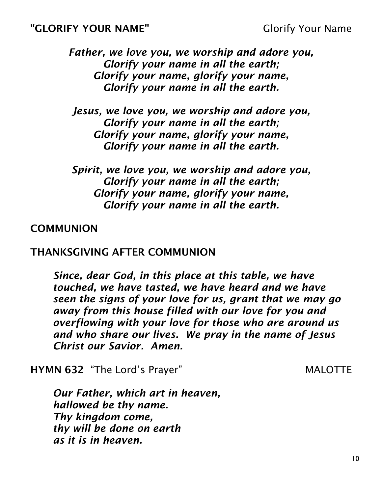*Father, we love you, we worship and adore you, Glorify your name in all the earth; Glorify your name, glorify your name, Glorify your name in all the earth.*

*Jesus, we love you, we worship and adore you, Glorify your name in all the earth; Glorify your name, glorify your name, Glorify your name in all the earth.*

*Spirit, we love you, we worship and adore you, Glorify your name in all the earth; Glorify your name, glorify your name, Glorify your name in all the earth.*

#### **COMMUNION**

#### THANKSGIVING AFTER COMMUNION

*Since, dear God, in this place at this table, we have touched, we have tasted, we have heard and we have seen the signs of your love for us, grant that we may go away from this house filled with our love for you and overflowing with your love for those who are around us and who share our lives. We pray in the name of Jesus Christ our Savior. Amen.*

**HYMN 632** "The Lord's Prayer" MALOTTE

*Our Father, which art in heaven, hallowed be thy name. Thy kingdom come, thy will be done on earth as it is in heaven.*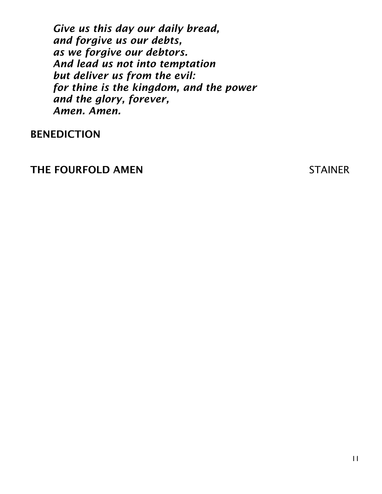*Give us this day our daily bread, and forgive us our debts, as we forgive our debtors. And lead us not into temptation but deliver us from the evil: for thine is the kingdom, and the power and the glory, forever, Amen. Amen.*

#### BENEDICTION

#### THE FOURFOLD AMEN STAINER